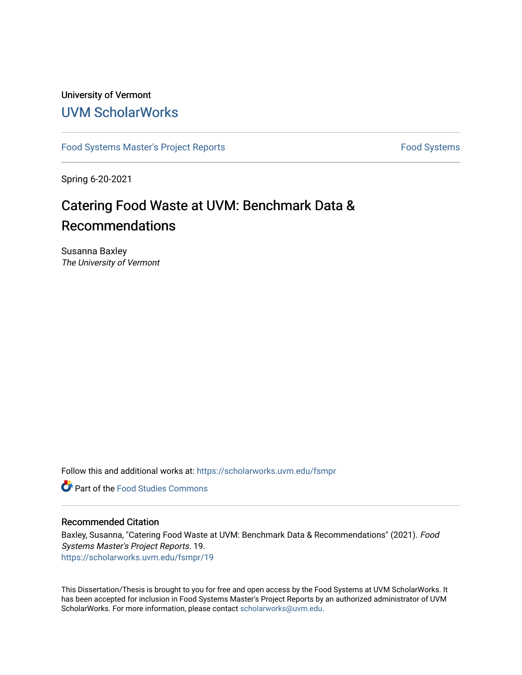### University of Vermont [UVM ScholarWorks](https://scholarworks.uvm.edu/)

[Food Systems Master's Project Reports](https://scholarworks.uvm.edu/fsmpr) [Food Systems](https://scholarworks.uvm.edu/foodsystems) Food Systems

Spring 6-20-2021

# Catering Food Waste at UVM: Benchmark Data & Recommendations

Susanna Baxley The University of Vermont

Follow this and additional works at: [https://scholarworks.uvm.edu/fsmpr](https://scholarworks.uvm.edu/fsmpr?utm_source=scholarworks.uvm.edu%2Ffsmpr%2F19&utm_medium=PDF&utm_campaign=PDFCoverPages)

**Part of the Food Studies Commons** 

#### Recommended Citation

Baxley, Susanna, "Catering Food Waste at UVM: Benchmark Data & Recommendations" (2021). Food Systems Master's Project Reports. 19. [https://scholarworks.uvm.edu/fsmpr/19](https://scholarworks.uvm.edu/fsmpr/19?utm_source=scholarworks.uvm.edu%2Ffsmpr%2F19&utm_medium=PDF&utm_campaign=PDFCoverPages) 

This Dissertation/Thesis is brought to you for free and open access by the Food Systems at UVM ScholarWorks. It has been accepted for inclusion in Food Systems Master's Project Reports by an authorized administrator of UVM ScholarWorks. For more information, please contact [scholarworks@uvm.edu](mailto:scholarworks@uvm.edu).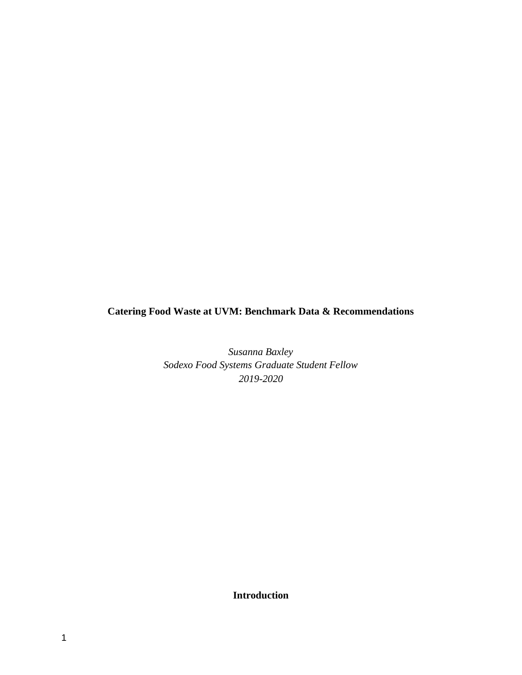**Catering Food Waste at UVM: Benchmark Data & Recommendations**

*Susanna Baxley Sodexo Food Systems Graduate Student Fellow 2019-2020*

**Introduction**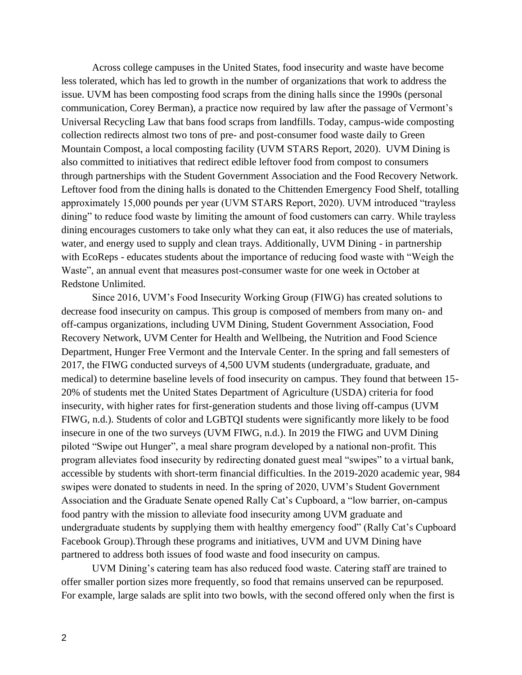Across college campuses in the United States, food insecurity and waste have become less tolerated, which has led to growth in the number of organizations that work to address the issue. UVM has been composting food scraps from the dining halls since the 1990s (personal communication, Corey Berman), a practice now required by law after the passage of Vermont's Universal Recycling Law that bans food scraps from landfills. Today, campus-wide composting collection redirects almost two tons of pre- and post-consumer food waste daily to Green Mountain Compost, a local composting facility (UVM STARS Report, 2020). UVM Dining is also committed to initiatives that redirect edible leftover food from compost to consumers through partnerships with the Student Government Association and the Food Recovery Network. Leftover food from the dining halls is donated to the Chittenden Emergency Food Shelf, totalling approximately 15,000 pounds per year (UVM STARS Report, 2020). UVM introduced "trayless dining" to reduce food waste by limiting the amount of food customers can carry. While trayless dining encourages customers to take only what they can eat, it also reduces the use of materials, water, and energy used to supply and clean trays. Additionally, UVM Dining - in partnership with EcoReps - educates students about the importance of reducing food waste with "Weigh the Waste", an annual event that measures post-consumer waste for one week in October at Redstone Unlimited.

Since 2016, UVM's Food Insecurity Working Group (FIWG) has created solutions to decrease food insecurity on campus. This group is composed of members from many on- and off-campus organizations, including UVM Dining, Student Government Association, Food Recovery Network, UVM Center for Health and Wellbeing, the Nutrition and Food Science Department, Hunger Free Vermont and the Intervale Center. In the spring and fall semesters of 2017, the FIWG conducted surveys of 4,500 UVM students (undergraduate, graduate, and medical) to determine baseline levels of food insecurity on campus. They found that between 15- 20% of students met the United States Department of Agriculture (USDA) criteria for food insecurity, with higher rates for first-generation students and those living off-campus (UVM FIWG, n.d.). Students of color and LGBTQI students were significantly more likely to be food insecure in one of the two surveys (UVM FIWG, n.d.). In 2019 the FIWG and UVM Dining piloted "Swipe out Hunger", a meal share program developed by a national non-profit. This program alleviates food insecurity by redirecting donated guest meal "swipes" to a virtual bank, accessible by students with short-term financial difficulties. In the 2019-2020 academic year, 984 swipes were donated to students in need. In the spring of 2020, UVM's Student Government Association and the Graduate Senate opened Rally Cat's Cupboard, a "low barrier, on-campus food pantry with the mission to alleviate food insecurity among UVM graduate and undergraduate students by supplying them with healthy emergency food" (Rally Cat's Cupboard Facebook Group).Through these programs and initiatives, UVM and UVM Dining have partnered to address both issues of food waste and food insecurity on campus.

UVM Dining's catering team has also reduced food waste. Catering staff are trained to offer smaller portion sizes more frequently, so food that remains unserved can be repurposed. For example, large salads are split into two bowls, with the second offered only when the first is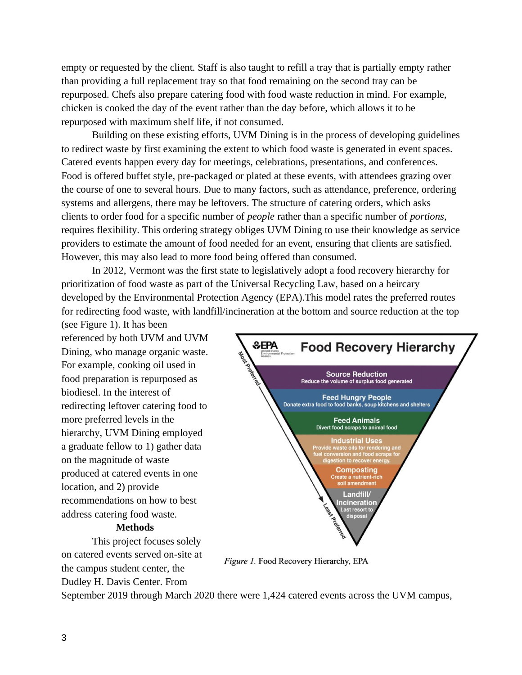empty or requested by the client. Staff is also taught to refill a tray that is partially empty rather than providing a full replacement tray so that food remaining on the second tray can be repurposed. Chefs also prepare catering food with food waste reduction in mind. For example, chicken is cooked the day of the event rather than the day before, which allows it to be repurposed with maximum shelf life, if not consumed.

Building on these existing efforts, UVM Dining is in the process of developing guidelines to redirect waste by first examining the extent to which food waste is generated in event spaces. Catered events happen every day for meetings, celebrations, presentations, and conferences. Food is offered buffet style, pre-packaged or plated at these events, with attendees grazing over the course of one to several hours. Due to many factors, such as attendance, preference, ordering systems and allergens, there may be leftovers. The structure of catering orders, which asks clients to order food for a specific number of *people* rather than a specific number of *portions*, requires flexibility. This ordering strategy obliges UVM Dining to use their knowledge as service providers to estimate the amount of food needed for an event, ensuring that clients are satisfied. However, this may also lead to more food being offered than consumed.

In 2012, Vermont was the first state to legislatively adopt a food recovery hierarchy for prioritization of food waste as part of the Universal Recycling Law, based on a heircary developed by the Environmental Protection Agency (EPA).This model rates the preferred routes for redirecting food waste, with landfill/incineration at the bottom and source reduction at the top

(see Figure 1). It has been referenced by both UVM and UVM Dining, who manage organic waste. For example, cooking oil used in food preparation is repurposed as biodiesel. In the interest of redirecting leftover catering food to more preferred levels in the hierarchy, UVM Dining employed a graduate fellow to 1) gather data on the magnitude of waste produced at catered events in one location, and 2) provide recommendations on how to best address catering food waste.

#### **Methods**

This project focuses solely on catered events served on-site at the campus student center, the Dudley H. Davis Center. From



Figure 1. Food Recovery Hierarchy, EPA

September 2019 through March 2020 there were 1,424 catered events across the UVM campus,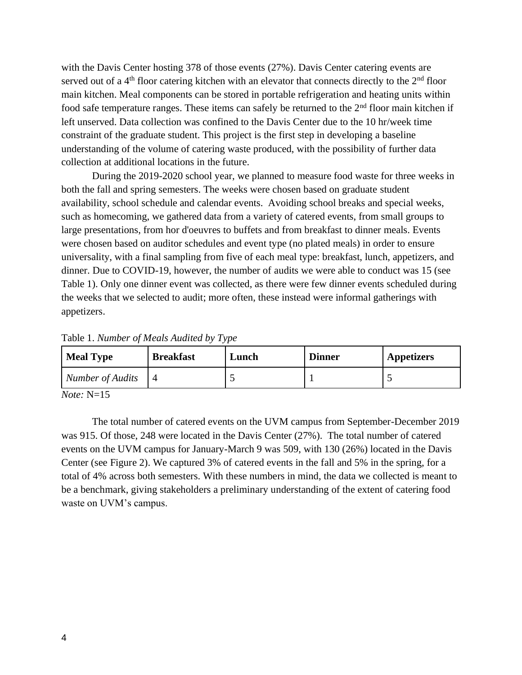with the Davis Center hosting 378 of those events (27%). Davis Center catering events are served out of a  $4<sup>th</sup>$  floor catering kitchen with an elevator that connects directly to the  $2<sup>nd</sup>$  floor main kitchen. Meal components can be stored in portable refrigeration and heating units within food safe temperature ranges. These items can safely be returned to the  $2<sup>nd</sup>$  floor main kitchen if left unserved. Data collection was confined to the Davis Center due to the 10 hr/week time constraint of the graduate student. This project is the first step in developing a baseline understanding of the volume of catering waste produced, with the possibility of further data collection at additional locations in the future.

During the 2019-2020 school year, we planned to measure food waste for three weeks in both the fall and spring semesters. The weeks were chosen based on graduate student availability, school schedule and calendar events. Avoiding school breaks and special weeks, such as homecoming, we gathered data from a variety of catered events, from small groups to large presentations, from hor d'oeuvres to buffets and from breakfast to dinner meals. Events were chosen based on auditor schedules and event type (no plated meals) in order to ensure universality, with a final sampling from five of each meal type: breakfast, lunch, appetizers, and dinner. Due to COVID-19, however, the number of audits we were able to conduct was 15 (see Table 1). Only one dinner event was collected, as there were few dinner events scheduled during the weeks that we selected to audit; more often, these instead were informal gatherings with appetizers.

| <b>Meal Type</b>        | <b>Breakfast</b> | Lunch | <b>Dinner</b> | <b>Appetizers</b> |
|-------------------------|------------------|-------|---------------|-------------------|
| <b>Number of Audits</b> |                  |       |               |                   |

Table 1. *Number of Meals Audited by Type*

*Note:* N=15

The total number of catered events on the UVM campus from September-December 2019 was 915. Of those, 248 were located in the Davis Center (27%). The total number of catered events on the UVM campus for January-March 9 was 509, with 130 (26%) located in the Davis Center (see Figure 2). We captured 3% of catered events in the fall and 5% in the spring, for a total of 4% across both semesters. With these numbers in mind, the data we collected is meant to be a benchmark, giving stakeholders a preliminary understanding of the extent of catering food waste on UVM's campus.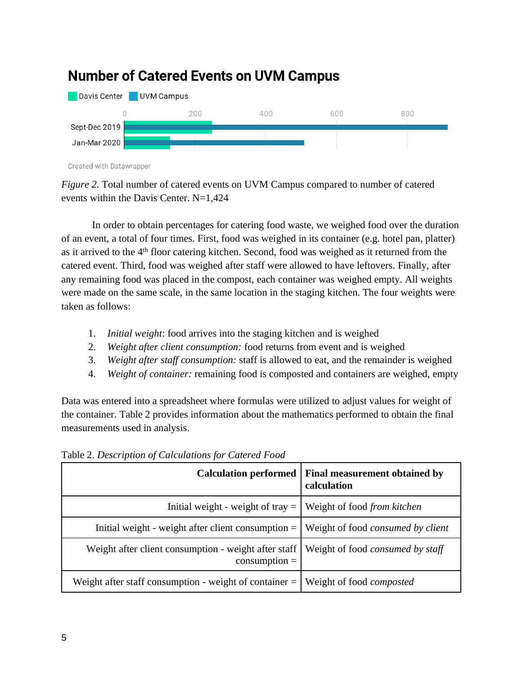

## **Number of Catered Events on UVM Campus**

Created with Datawrapper

*Figure 2.* Total number of catered events on UVM Campus compared to number of catered events within the Davis Center. N=1,424

In order to obtain percentages for catering food waste, we weighed food over the duration of an event, a total of four times. First, food was weighed in its container (e.g. hotel pan, platter) as it arrived to the 4<sup>th</sup> floor catering kitchen. Second, food was weighed as it returned from the catered event. Third, food was weighed after staff were allowed to have leftovers. Finally, after any remaining food was placed in the compost, each container was weighed empty. All weights were made on the same scale, in the same location in the staging kitchen. The four weights were taken as follows:

- 1. *Initial weight*: food arrives into the staging kitchen and is weighed
- 2. *Weight after client consumption:* food returns from event and is weighed
- 3. *Weight after staff consumption:* staff is allowed to eat, and the remainder is weighed
- 4. *Weight of container:* remaining food is composted and containers are weighed, empty

Data was entered into a spreadsheet where formulas were utilized to adjust values for weight of the container. Table 2 provides information about the mathematics performed to obtain the final measurements used in analysis.

| <b>Calculation performed</b>                                              | <b>Final measurement obtained by</b><br>calculation |
|---------------------------------------------------------------------------|-----------------------------------------------------|
| Initial weight - weight of tray $=$                                       | Weight of food from kitchen                         |
| Initial weight - weight after client consumption $=$                      | Weight of food <i>consumed by client</i>            |
| Weight after client consumption - weight after staff  <br>$consumption =$ | Weight of food <i>consumed by staff</i>             |
| Weight after staff consumption - weight of container $=  $                | Weight of food <i>composted</i>                     |

Table 2. *Description of Calculations for Catered Food*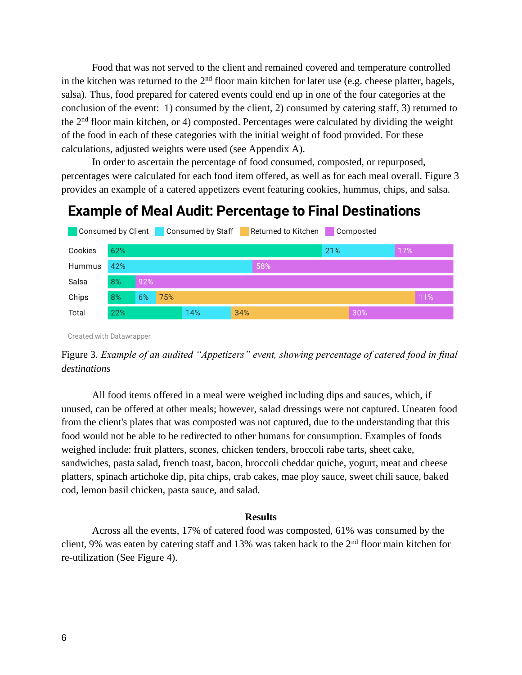Food that was not served to the client and remained covered and temperature controlled in the kitchen was returned to the  $2<sup>nd</sup>$  floor main kitchen for later use (e.g. cheese platter, bagels, salsa). Thus, food prepared for catered events could end up in one of the four categories at the conclusion of the event: 1) consumed by the client, 2) consumed by catering staff, 3) returned to the 2nd floor main kitchen, or 4) composted. Percentages were calculated by dividing the weight of the food in each of these categories with the initial weight of food provided. For these calculations, adjusted weights were used (see Appendix A).

In order to ascertain the percentage of food consumed, composted, or repurposed, percentages were calculated for each food item offered, as well as for each meal overall. Figure 3 provides an example of a catered appetizers event featuring cookies, hummus, chips, and salsa.

### **Example of Meal Audit: Percentage to Final Destinations**



Created with Datawrapper



All food items offered in a meal were weighed including dips and sauces, which, if unused, can be offered at other meals; however, salad dressings were not captured. Uneaten food from the client's plates that was composted was not captured, due to the understanding that this food would not be able to be redirected to other humans for consumption. Examples of foods weighed include: fruit platters, scones, chicken tenders, broccoli rabe tarts, sheet cake, sandwiches, pasta salad, french toast, bacon, broccoli cheddar quiche, yogurt, meat and cheese platters, spinach artichoke dip, pita chips, crab cakes, mae ploy sauce, sweet chili sauce, baked cod, lemon basil chicken, pasta sauce, and salad.

#### **Results**

Across all the events, 17% of catered food was composted, 61% was consumed by the client, 9% was eaten by catering staff and 13% was taken back to the 2nd floor main kitchen for re-utilization (See Figure 4).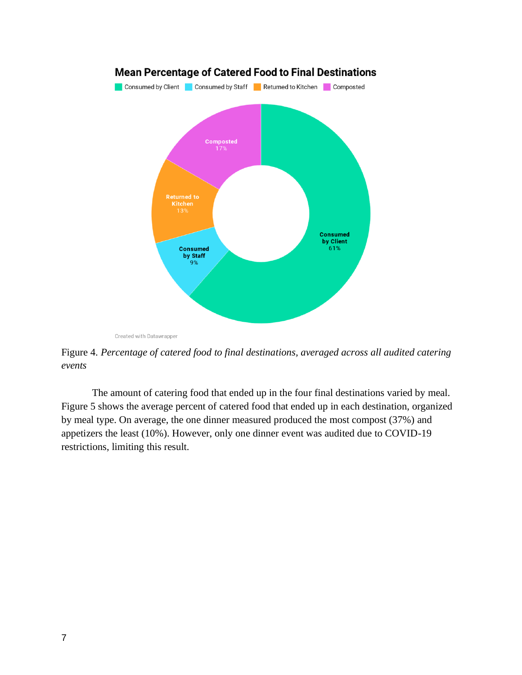

Created with Datawrapper

Figure 4. *Percentage of catered food to final destinations, averaged across all audited catering events*

The amount of catering food that ended up in the four final destinations varied by meal. Figure 5 shows the average percent of catered food that ended up in each destination, organized by meal type. On average, the one dinner measured produced the most compost (37%) and appetizers the least (10%). However, only one dinner event was audited due to COVID-19 restrictions, limiting this result.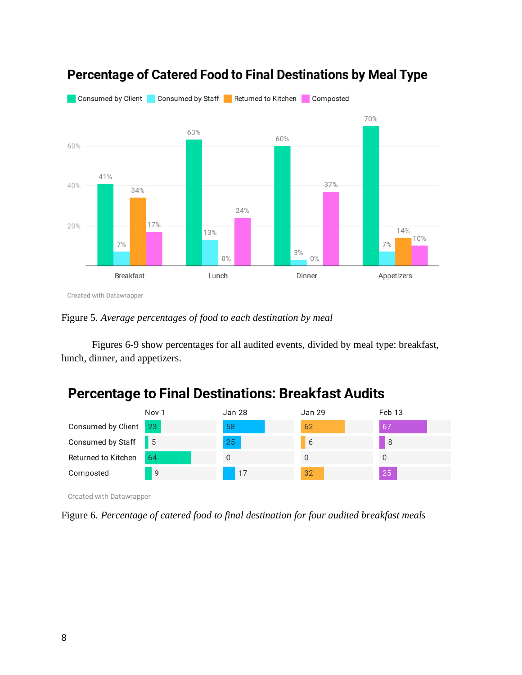

## Percentage of Catered Food to Final Destinations by Meal Type

Figure 5. *Average percentages of food to each destination by meal*

Figures 6-9 show percentages for all audited events, divided by meal type: breakfast, lunch, dinner, and appetizers.

## **Percentage to Final Destinations: Breakfast Audits**

|                       | Nov <sub>1</sub> | Jan 28 | Jan 29 | Feb 13 |
|-----------------------|------------------|--------|--------|--------|
| Consumed by Client 23 |                  | 58     | 62     | 67     |
| Consumed by Staff 5   |                  | 25     | b      | -8     |
| Returned to Kitchen   | -64              |        | U      |        |
| Composted             | -9               | 17     | 32     | 25     |

Created with Datawrapper

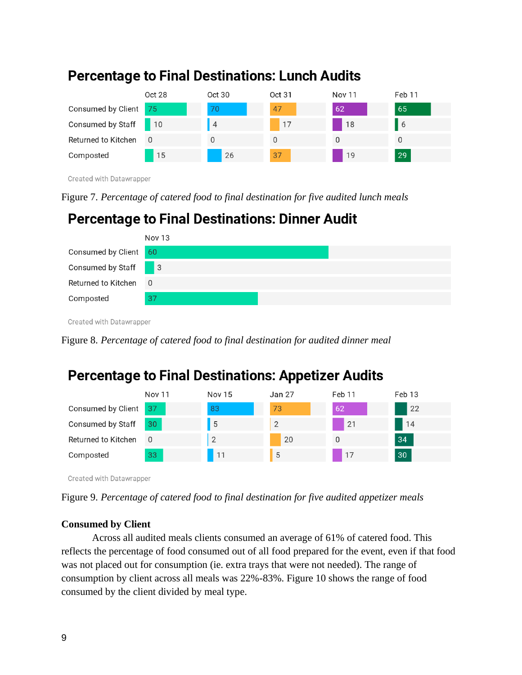

### **Percentage to Final Destinations: Lunch Audits**

Created with Datawrapper

Figure 7. *Percentage of catered food to final destination for five audited lunch meals*

## **Percentage to Final Destinations: Dinner Audit**



Created with Datawrapper

Figure 8. *Percentage of catered food to final destination for audited dinner meal*

# **Percentage to Final Destinations: Appetizer Audits**

|                       | <b>Nov 11</b> | <b>Nov 15</b>  | Jan 27 | Feb 11   | Feb 13 |
|-----------------------|---------------|----------------|--------|----------|--------|
| Consumed by Client 37 |               | 83             | 73     | 62       | 22     |
| Consumed by Staff     | 30            | 5              | 2      | 21       | 14     |
| Returned to Kitchen   | - 0           | $\overline{2}$ | 20     | $\Omega$ | 34     |
| Composted             | 33            | 11             | 5      | 17       | 30     |

Created with Datawrapper

### **Consumed by Client**

Across all audited meals clients consumed an average of 61% of catered food. This reflects the percentage of food consumed out of all food prepared for the event, even if that food was not placed out for consumption (ie. extra trays that were not needed). The range of consumption by client across all meals was 22%-83%. Figure 10 shows the range of food consumed by the client divided by meal type.

Figure 9. *Percentage of catered food to final destination for five audited appetizer meals*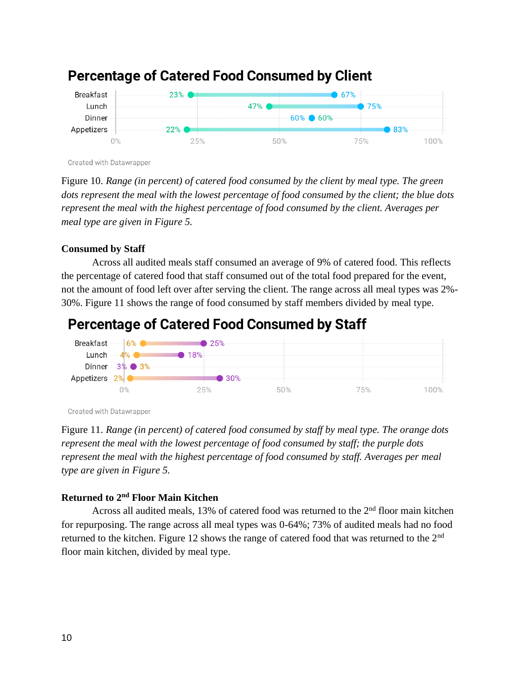

### **Percentage of Catered Food Consumed by Client**

Created with Datawrapper

Figure 10. *Range (in percent) of catered food consumed by the client by meal type. The green dots represent the meal with the lowest percentage of food consumed by the client; the blue dots represent the meal with the highest percentage of food consumed by the client. Averages per meal type are given in Figure 5.*

### **Consumed by Staff**

Across all audited meals staff consumed an average of 9% of catered food. This reflects the percentage of catered food that staff consumed out of the total food prepared for the event, not the amount of food left over after serving the client. The range across all meal types was 2%- 30%. Figure 11 shows the range of food consumed by staff members divided by meal type.

## **Percentage of Catered Food Consumed by Staff**



Created with Datawrapper

Figure 11. *Range (in percent) of catered food consumed by staff by meal type. The orange dots represent the meal with the lowest percentage of food consumed by staff; the purple dots represent the meal with the highest percentage of food consumed by staff. Averages per meal type are given in Figure 5.*

### **Returned to 2nd Floor Main Kitchen**

Across all audited meals, 13% of catered food was returned to the 2<sup>nd</sup> floor main kitchen for repurposing. The range across all meal types was 0-64%; 73% of audited meals had no food returned to the kitchen. Figure 12 shows the range of catered food that was returned to the 2<sup>nd</sup> floor main kitchen, divided by meal type.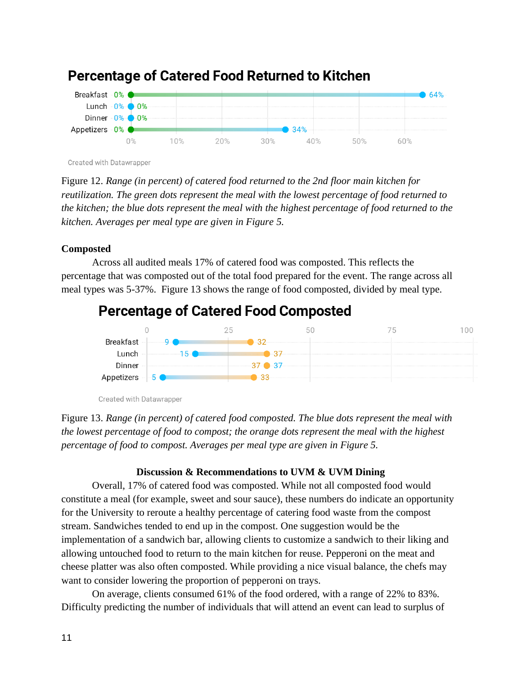

### **Percentage of Catered Food Returned to Kitchen**

Created with Datawrapper

Figure 12. *Range (in percent) of catered food returned to the 2nd floor main kitchen for reutilization. The green dots represent the meal with the lowest percentage of food returned to the kitchen; the blue dots represent the meal with the highest percentage of food returned to the kitchen. Averages per meal type are given in Figure 5.*

#### **Composted**

Across all audited meals 17% of catered food was composted. This reflects the percentage that was composted out of the total food prepared for the event. The range across all meal types was 5-37%. Figure 13 shows the range of food composted, divided by meal type.

### **Percentage of Catered Food Composted**



Created with Datawrapper

Figure 13. *Range (in percent) of catered food composted. The blue dots represent the meal with the lowest percentage of food to compost; the orange dots represent the meal with the highest percentage of food to compost. Averages per meal type are given in Figure 5.*

### **Discussion & Recommendations to UVM & UVM Dining**

Overall, 17% of catered food was composted. While not all composted food would constitute a meal (for example, sweet and sour sauce), these numbers do indicate an opportunity for the University to reroute a healthy percentage of catering food waste from the compost stream. Sandwiches tended to end up in the compost. One suggestion would be the implementation of a sandwich bar, allowing clients to customize a sandwich to their liking and allowing untouched food to return to the main kitchen for reuse. Pepperoni on the meat and cheese platter was also often composted. While providing a nice visual balance, the chefs may want to consider lowering the proportion of pepperoni on trays.

On average, clients consumed 61% of the food ordered, with a range of 22% to 83%. Difficulty predicting the number of individuals that will attend an event can lead to surplus of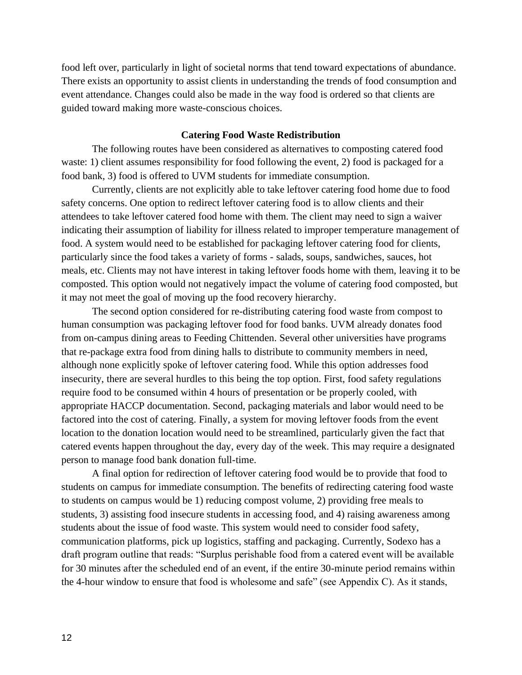food left over, particularly in light of societal norms that tend toward expectations of abundance. There exists an opportunity to assist clients in understanding the trends of food consumption and event attendance. Changes could also be made in the way food is ordered so that clients are guided toward making more waste-conscious choices.

#### **Catering Food Waste Redistribution**

The following routes have been considered as alternatives to composting catered food waste: 1) client assumes responsibility for food following the event, 2) food is packaged for a food bank, 3) food is offered to UVM students for immediate consumption.

Currently, clients are not explicitly able to take leftover catering food home due to food safety concerns. One option to redirect leftover catering food is to allow clients and their attendees to take leftover catered food home with them. The client may need to sign a waiver indicating their assumption of liability for illness related to improper temperature management of food. A system would need to be established for packaging leftover catering food for clients, particularly since the food takes a variety of forms - salads, soups, sandwiches, sauces, hot meals, etc. Clients may not have interest in taking leftover foods home with them, leaving it to be composted. This option would not negatively impact the volume of catering food composted, but it may not meet the goal of moving up the food recovery hierarchy.

The second option considered for re-distributing catering food waste from compost to human consumption was packaging leftover food for food banks. UVM already donates food from on-campus dining areas to Feeding Chittenden. Several other universities have programs that re-package extra food from dining halls to distribute to community members in need, although none explicitly spoke of leftover catering food. While this option addresses food insecurity, there are several hurdles to this being the top option. First, food safety regulations require food to be consumed within 4 hours of presentation or be properly cooled, with appropriate HACCP documentation. Second, packaging materials and labor would need to be factored into the cost of catering. Finally, a system for moving leftover foods from the event location to the donation location would need to be streamlined, particularly given the fact that catered events happen throughout the day, every day of the week. This may require a designated person to manage food bank donation full-time.

A final option for redirection of leftover catering food would be to provide that food to students on campus for immediate consumption. The benefits of redirecting catering food waste to students on campus would be 1) reducing compost volume, 2) providing free meals to students, 3) assisting food insecure students in accessing food, and 4) raising awareness among students about the issue of food waste. This system would need to consider food safety, communication platforms, pick up logistics, staffing and packaging. Currently, Sodexo has a draft program outline that reads: "Surplus perishable food from a catered event will be available for 30 minutes after the scheduled end of an event, if the entire 30-minute period remains within the 4-hour window to ensure that food is wholesome and safe" (see Appendix C). As it stands,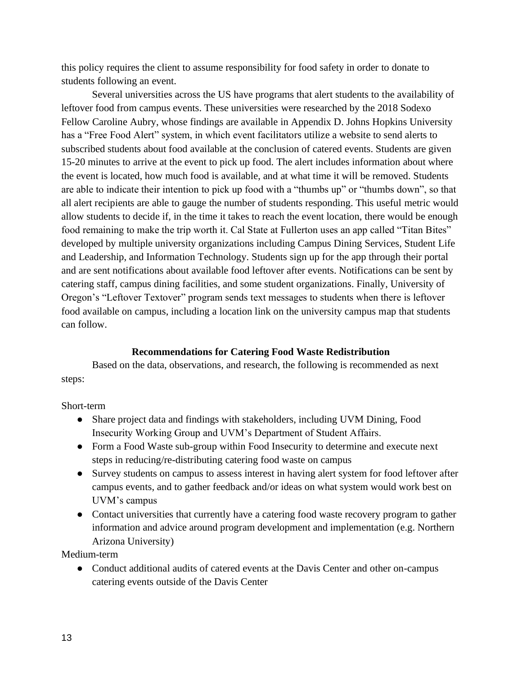this policy requires the client to assume responsibility for food safety in order to donate to students following an event.

Several universities across the US have programs that alert students to the availability of leftover food from campus events. These universities were researched by the 2018 Sodexo Fellow Caroline Aubry, whose findings are available in Appendix D. Johns Hopkins University has a "Free Food Alert" system, in which event facilitators utilize a website to send alerts to subscribed students about food available at the conclusion of catered events. Students are given 15-20 minutes to arrive at the event to pick up food. The alert includes information about where the event is located, how much food is available, and at what time it will be removed. Students are able to indicate their intention to pick up food with a "thumbs up" or "thumbs down", so that all alert recipients are able to gauge the number of students responding. This useful metric would allow students to decide if, in the time it takes to reach the event location, there would be enough food remaining to make the trip worth it. Cal State at Fullerton uses an app called "Titan Bites" developed by multiple university organizations including Campus Dining Services, Student Life and Leadership, and Information Technology. Students sign up for the app through their portal and are sent notifications about available food leftover after events. Notifications can be sent by catering staff, campus dining facilities, and some student organizations. Finally, University of Oregon's "Leftover Textover" program sends text messages to students when there is leftover food available on campus, including a location link on the university campus map that students can follow.

#### **Recommendations for Catering Food Waste Redistribution**

Based on the data, observations, and research, the following is recommended as next steps:

#### Short-term

- Share project data and findings with stakeholders, including UVM Dining, Food Insecurity Working Group and UVM's Department of Student Affairs.
- Form a Food Waste sub-group within Food Insecurity to determine and execute next steps in reducing/re-distributing catering food waste on campus
- Survey students on campus to assess interest in having alert system for food leftover after campus events, and to gather feedback and/or ideas on what system would work best on UVM's campus
- Contact universities that currently have a catering food waste recovery program to gather information and advice around program development and implementation (e.g. Northern Arizona University)

Medium-term

• Conduct additional audits of catered events at the Davis Center and other on-campus catering events outside of the Davis Center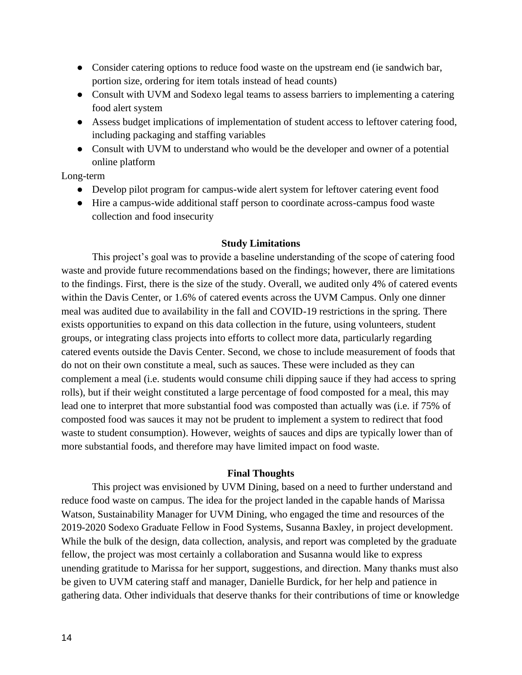- Consider catering options to reduce food waste on the upstream end (ie sandwich bar, portion size, ordering for item totals instead of head counts)
- Consult with UVM and Sodexo legal teams to assess barriers to implementing a catering food alert system
- Assess budget implications of implementation of student access to leftover catering food, including packaging and staffing variables
- Consult with UVM to understand who would be the developer and owner of a potential online platform

Long-term

- Develop pilot program for campus-wide alert system for leftover catering event food
- Hire a campus-wide additional staff person to coordinate across-campus food waste collection and food insecurity

### **Study Limitations**

This project's goal was to provide a baseline understanding of the scope of catering food waste and provide future recommendations based on the findings; however, there are limitations to the findings. First, there is the size of the study. Overall, we audited only 4% of catered events within the Davis Center, or 1.6% of catered events across the UVM Campus. Only one dinner meal was audited due to availability in the fall and COVID-19 restrictions in the spring. There exists opportunities to expand on this data collection in the future, using volunteers, student groups, or integrating class projects into efforts to collect more data, particularly regarding catered events outside the Davis Center. Second, we chose to include measurement of foods that do not on their own constitute a meal, such as sauces. These were included as they can complement a meal (i.e. students would consume chili dipping sauce if they had access to spring rolls), but if their weight constituted a large percentage of food composted for a meal, this may lead one to interpret that more substantial food was composted than actually was (i.e. if 75% of composted food was sauces it may not be prudent to implement a system to redirect that food waste to student consumption). However, weights of sauces and dips are typically lower than of more substantial foods, and therefore may have limited impact on food waste.

#### **Final Thoughts**

This project was envisioned by UVM Dining, based on a need to further understand and reduce food waste on campus. The idea for the project landed in the capable hands of Marissa Watson, Sustainability Manager for UVM Dining, who engaged the time and resources of the 2019-2020 Sodexo Graduate Fellow in Food Systems, Susanna Baxley, in project development. While the bulk of the design, data collection, analysis, and report was completed by the graduate fellow, the project was most certainly a collaboration and Susanna would like to express unending gratitude to Marissa for her support, suggestions, and direction. Many thanks must also be given to UVM catering staff and manager, Danielle Burdick, for her help and patience in gathering data. Other individuals that deserve thanks for their contributions of time or knowledge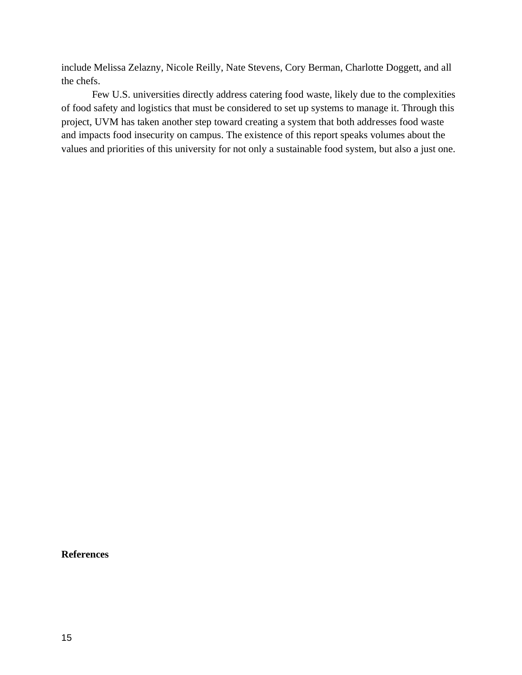include Melissa Zelazny, Nicole Reilly, Nate Stevens, Cory Berman, Charlotte Doggett, and all the chefs.

Few U.S. universities directly address catering food waste, likely due to the complexities of food safety and logistics that must be considered to set up systems to manage it. Through this project, UVM has taken another step toward creating a system that both addresses food waste and impacts food insecurity on campus. The existence of this report speaks volumes about the values and priorities of this university for not only a sustainable food system, but also a just one.

**References**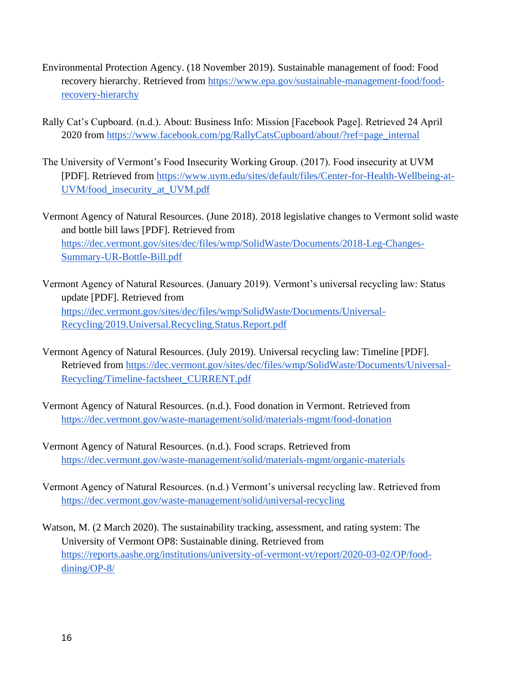- Environmental Protection Agency. (18 November 2019). Sustainable management of food: Food recovery hierarchy. Retrieved from [https://www.epa.gov/sustainable-management-food/food](https://www.epa.gov/sustainable-management-food/food-recovery-hierarchy)[recovery-hierarchy](https://www.epa.gov/sustainable-management-food/food-recovery-hierarchy)
- Rally Cat's Cupboard. (n.d.). About: Business Info: Mission [Facebook Page]. Retrieved 24 April 2020 from [https://www.facebook.com/pg/RallyCatsCupboard/about/?ref=page\\_internal](https://www.facebook.com/pg/RallyCatsCupboard/about/?ref=page_internal)
- The University of Vermont's Food Insecurity Working Group. (2017). Food insecurity at UVM [PDF]. Retrieved from [https://www.uvm.edu/sites/default/files/Center-for-Health-Wellbeing-at-](https://www.uvm.edu/sites/default/files/Center-for-Health-Wellbeing-at-UVM/food_insecurity_at_UVM.pdf)[UVM/food\\_insecurity\\_at\\_UVM.pdf](https://www.uvm.edu/sites/default/files/Center-for-Health-Wellbeing-at-UVM/food_insecurity_at_UVM.pdf)
- Vermont Agency of Natural Resources. (June 2018). 2018 legislative changes to Vermont solid waste and bottle bill laws [PDF]. Retrieved from [https://dec.vermont.gov/sites/dec/files/wmp/SolidWaste/Documents/2018-Leg-Changes-](https://dec.vermont.gov/sites/dec/files/wmp/SolidWaste/Documents/2018-Leg-Changes-Summary-UR-Bottle-Bill.pdf)[Summary-UR-Bottle-Bill.pdf](https://dec.vermont.gov/sites/dec/files/wmp/SolidWaste/Documents/2018-Leg-Changes-Summary-UR-Bottle-Bill.pdf)
- Vermont Agency of Natural Resources. (January 2019). Vermont's universal recycling law: Status update [PDF]. Retrieved from [https://dec.vermont.gov/sites/dec/files/wmp/SolidWaste/Documents/Universal-](https://dec.vermont.gov/sites/dec/files/wmp/SolidWaste/Documents/Universal-Recycling/2019.Universal.Recycling.Status.Report.pdf)[Recycling/2019.Universal.Recycling.Status.Report.pdf](https://dec.vermont.gov/sites/dec/files/wmp/SolidWaste/Documents/Universal-Recycling/2019.Universal.Recycling.Status.Report.pdf)
- Vermont Agency of Natural Resources. (July 2019). Universal recycling law: Timeline [PDF]. Retrieved from [https://dec.vermont.gov/sites/dec/files/wmp/SolidWaste/Documents/Universal-](https://dec.vermont.gov/sites/dec/files/wmp/SolidWaste/Documents/Universal-Recycling/Timeline-factsheet_CURRENT.pdf)[Recycling/Timeline-factsheet\\_CURRENT.pdf](https://dec.vermont.gov/sites/dec/files/wmp/SolidWaste/Documents/Universal-Recycling/Timeline-factsheet_CURRENT.pdf)
- Vermont Agency of Natural Resources. (n.d.). Food donation in Vermont. Retrieved from <https://dec.vermont.gov/waste-management/solid/materials-mgmt/food-donation>
- Vermont Agency of Natural Resources. (n.d.). Food scraps. Retrieved from <https://dec.vermont.gov/waste-management/solid/materials-mgmt/organic-materials>
- Vermont Agency of Natural Resources. (n.d.) Vermont's universal recycling law. Retrieved from <https://dec.vermont.gov/waste-management/solid/universal-recycling>
- Watson, M. (2 March 2020). The sustainability tracking, assessment, and rating system: The University of Vermont OP8: Sustainable dining. Retrieved from [https://reports.aashe.org/institutions/university-of-vermont-vt/report/2020-03-02/OP/food](https://reports.aashe.org/institutions/university-of-vermont-vt/report/2020-03-02/OP/food-dining/OP-8/)[dining/OP-8/](https://reports.aashe.org/institutions/university-of-vermont-vt/report/2020-03-02/OP/food-dining/OP-8/)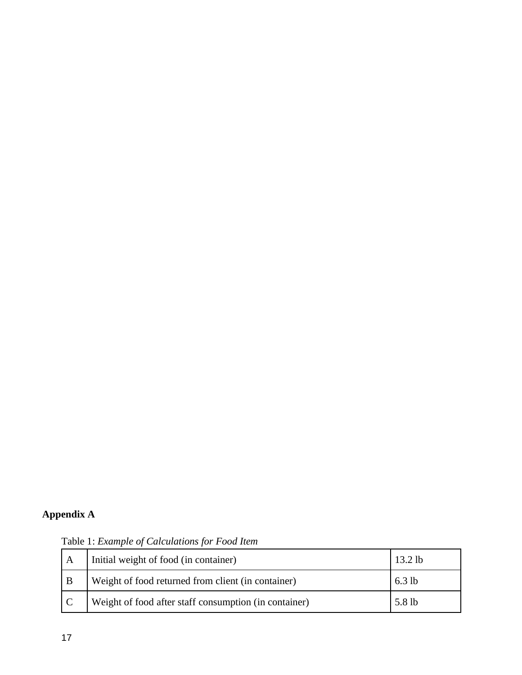### **Appendix A**

A Initial weight of food (in container) 13.2 lb B Weight of food returned from client (in container) 6.3 lb C Weight of food after staff consumption (in container) 5.8 lb

Table 1: *Example of Calculations for Food Item*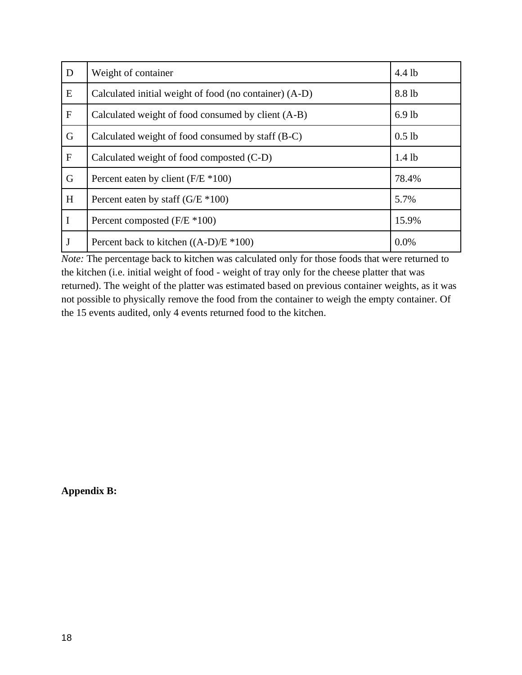| D           | Weight of container                                    | 4.4 lb   |
|-------------|--------------------------------------------------------|----------|
| E           | Calculated initial weight of food (no container) (A-D) | 8.8 lb   |
| $\mathbf F$ | Calculated weight of food consumed by client (A-B)     | $6.9$ lb |
| G           | Calculated weight of food consumed by staff (B-C)      | $0.5$ lb |
| $\mathbf F$ | Calculated weight of food composted (C-D)              | $1.4$ lb |
| G           | Percent eaten by client $(F/E * 100)$                  | 78.4%    |
| H           | Percent eaten by staff $(G/E * 100)$                   | 5.7%     |
| I           | Percent composted $(F/E * 100)$                        | 15.9%    |
| J           | Percent back to kitchen $((A-D)/E * 100)$              | 0.0%     |

*Note:* The percentage back to kitchen was calculated only for those foods that were returned to the kitchen (i.e. initial weight of food - weight of tray only for the cheese platter that was returned). The weight of the platter was estimated based on previous container weights, as it was not possible to physically remove the food from the container to weigh the empty container. Of the 15 events audited, only 4 events returned food to the kitchen.

**Appendix B:**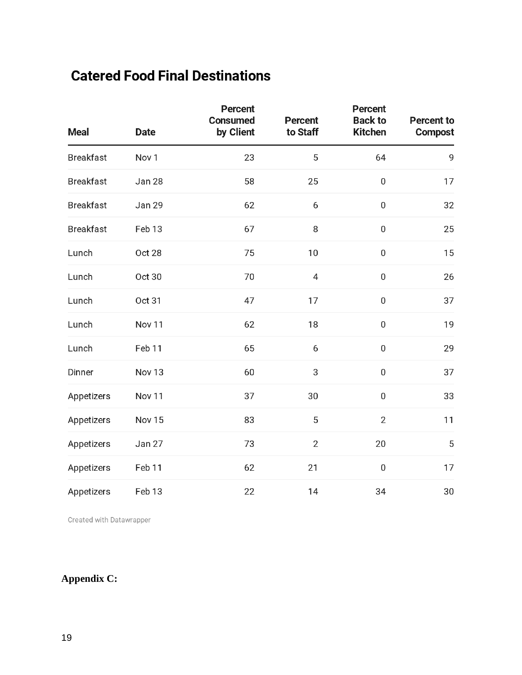# **Catered Food Final Destinations**

| <b>Meal</b>      | <b>Date</b>       | <b>Percent</b><br><b>Consumed</b><br>by Client | <b>Percent</b><br>to Staff | <b>Percent</b><br><b>Back to</b><br><b>Kitchen</b> | <b>Percent to</b><br><b>Compost</b> |
|------------------|-------------------|------------------------------------------------|----------------------------|----------------------------------------------------|-------------------------------------|
| <b>Breakfast</b> | Nov <sub>1</sub>  | 23                                             | 5                          | 64                                                 | 9                                   |
| <b>Breakfast</b> | Jan 28            | 58                                             | 25                         | $\mathbf 0$                                        | 17                                  |
| <b>Breakfast</b> | Jan 29            | 62                                             | 6                          | $\boldsymbol{0}$                                   | 32                                  |
| <b>Breakfast</b> | Feb 13            | 67                                             | 8                          | $\boldsymbol{0}$                                   | 25                                  |
| Lunch            | <b>Oct 28</b>     | 75                                             | 10                         | $\mathbf 0$                                        | 15                                  |
| Lunch            | Oct 30            | 70                                             | 4                          | $\pmb{0}$                                          | 26                                  |
| Lunch            | Oct 31            | 47                                             | 17                         | $\boldsymbol{0}$                                   | 37                                  |
| Lunch            | Nov <sub>11</sub> | 62                                             | 18                         | $\boldsymbol{0}$                                   | 19                                  |
| Lunch            | Feb 11            | 65                                             | 6                          | $\boldsymbol{0}$                                   | 29                                  |
| Dinner           | Nov <sub>13</sub> | 60                                             | 3                          | $\pmb{0}$                                          | 37                                  |
| Appetizers       | Nov <sub>11</sub> | 37                                             | 30                         | $\boldsymbol{0}$                                   | 33                                  |
| Appetizers       | Nov 15            | 83                                             | 5                          | $\overline{2}$                                     | 11                                  |
| Appetizers       | Jan 27            | 73                                             | $\overline{2}$             | 20                                                 | 5                                   |
| Appetizers       | Feb 11            | 62                                             | 21                         | $\mathbf 0$                                        | 17                                  |
| Appetizers       | Feb 13            | 22                                             | 14                         | 34                                                 | 30                                  |

Created with Datawrapper

### **Appendix C:**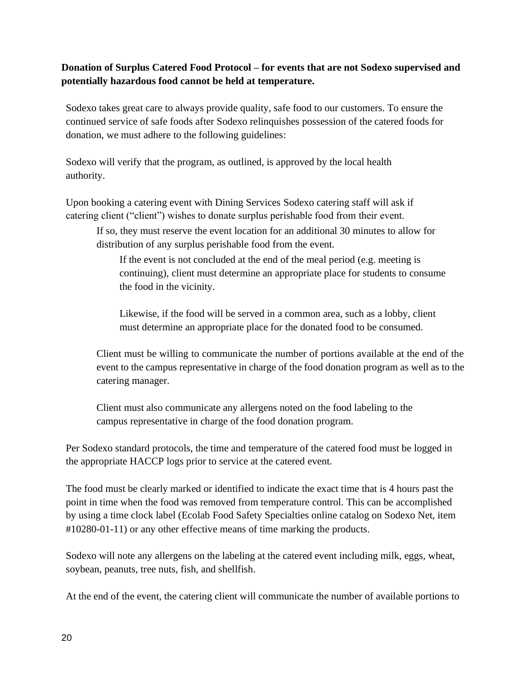### **Donation of Surplus Catered Food Protocol – for events that are not Sodexo supervised and potentially hazardous food cannot be held at temperature.**

Sodexo takes great care to always provide quality, safe food to our customers. To ensure the continued service of safe foods after Sodexo relinquishes possession of the catered foods for donation, we must adhere to the following guidelines:

Sodexo will verify that the program, as outlined, is approved by the local health authority.

Upon booking a catering event with Dining Services Sodexo catering staff will ask if catering client ("client") wishes to donate surplus perishable food from their event.

If so, they must reserve the event location for an additional 30 minutes to allow for distribution of any surplus perishable food from the event.

If the event is not concluded at the end of the meal period (e.g. meeting is continuing), client must determine an appropriate place for students to consume the food in the vicinity.

Likewise, if the food will be served in a common area, such as a lobby, client must determine an appropriate place for the donated food to be consumed.

Client must be willing to communicate the number of portions available at the end of the event to the campus representative in charge of the food donation program as well as to the catering manager.

Client must also communicate any allergens noted on the food labeling to the campus representative in charge of the food donation program.

Per Sodexo standard protocols, the time and temperature of the catered food must be logged in the appropriate HACCP logs prior to service at the catered event.

The food must be clearly marked or identified to indicate the exact time that is 4 hours past the point in time when the food was removed from temperature control. This can be accomplished by using a time clock label (Ecolab Food Safety Specialties online catalog on Sodexo Net, item #10280-01-11) or any other effective means of time marking the products.

Sodexo will note any allergens on the labeling at the catered event including milk, eggs, wheat, soybean, peanuts, tree nuts, fish, and shellfish.

At the end of the event, the catering client will communicate the number of available portions to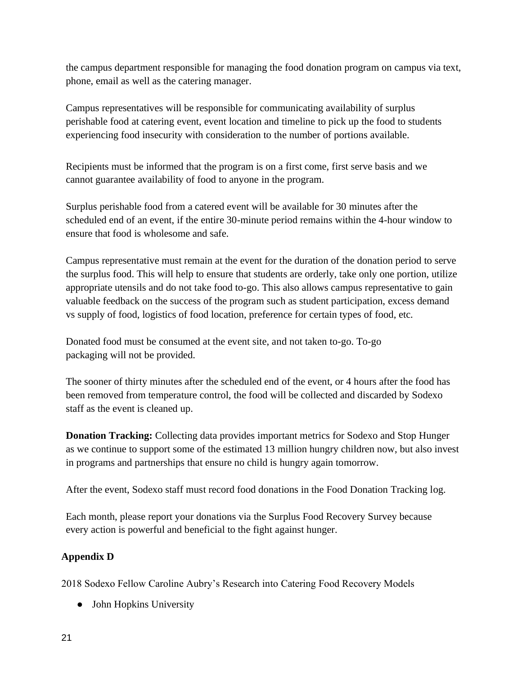the campus department responsible for managing the food donation program on campus via text, phone, email as well as the catering manager.

Campus representatives will be responsible for communicating availability of surplus perishable food at catering event, event location and timeline to pick up the food to students experiencing food insecurity with consideration to the number of portions available.

Recipients must be informed that the program is on a first come, first serve basis and we cannot guarantee availability of food to anyone in the program.

Surplus perishable food from a catered event will be available for 30 minutes after the scheduled end of an event, if the entire 30-minute period remains within the 4-hour window to ensure that food is wholesome and safe.

Campus representative must remain at the event for the duration of the donation period to serve the surplus food. This will help to ensure that students are orderly, take only one portion, utilize appropriate utensils and do not take food to-go. This also allows campus representative to gain valuable feedback on the success of the program such as student participation, excess demand vs supply of food, logistics of food location, preference for certain types of food, etc.

Donated food must be consumed at the event site, and not taken to-go. To-go packaging will not be provided.

The sooner of thirty minutes after the scheduled end of the event, or 4 hours after the food has been removed from temperature control, the food will be collected and discarded by Sodexo staff as the event is cleaned up.

**Donation Tracking:** Collecting data provides important metrics for Sodexo and Stop Hunger as we continue to support some of the estimated 13 million hungry children now, but also invest in programs and partnerships that ensure no child is hungry again tomorrow.

After the event, Sodexo staff must record food donations in the Food Donation Tracking log.

Each month, please report your donations via the Surplus Food Recovery Survey because every action is powerful and beneficial to the fight against hunger.

### **Appendix D**

2018 Sodexo Fellow Caroline Aubry's Research into Catering Food Recovery Models

• John Hopkins University